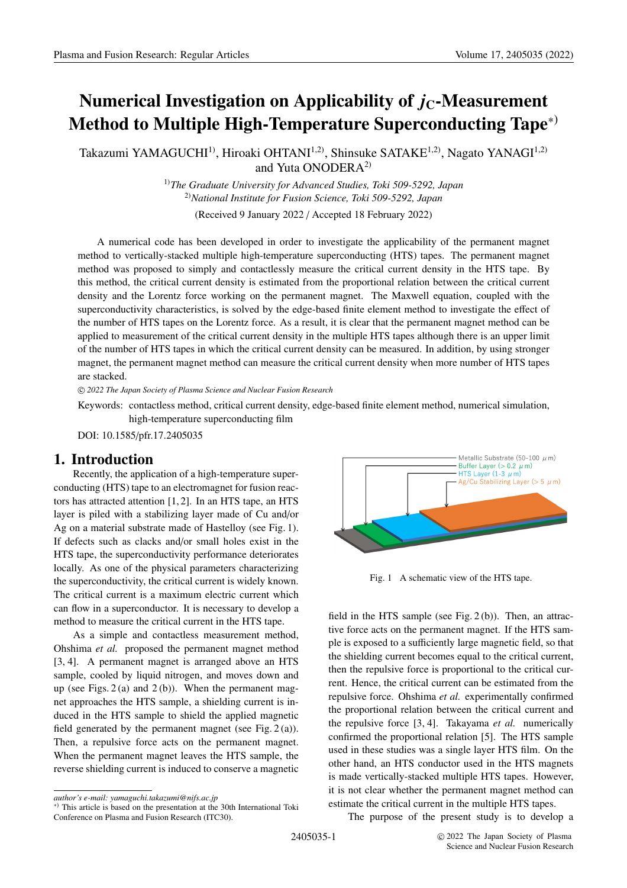# **Numerical Investigation on Applicability of**  $j_c$ **-Measurement Method to Multiple High-Temperature Superconducting Tape**∗)

Takazumi YAMAGUCHI<sup>1)</sup>, Hiroaki OHTANI<sup>1,2)</sup>, Shinsuke SATAKE<sup>1,2)</sup>, Nagato YANAGI<sup>1,2)</sup> and Yuta ONODERA<sup>2)</sup>

> 1)*The Graduate University for Advanced Studies, Toki 509-5292, Japan* 2)*National Institute for Fusion Science, Toki 509-5292, Japan*

(Received 9 January 2022 / Accepted 18 February 2022)

A numerical code has been developed in order to investigate the applicability of the permanent magnet method to vertically-stacked multiple high-temperature superconducting (HTS) tapes. The permanent magnet method was proposed to simply and contactlessly measure the critical current density in the HTS tape. By this method, the critical current density is estimated from the proportional relation between the critical current density and the Lorentz force working on the permanent magnet. The Maxwell equation, coupled with the superconductivity characteristics, is solved by the edge-based finite element method to investigate the effect of the number of HTS tapes on the Lorentz force. As a result, it is clear that the permanent magnet method can be applied to measurement of the critical current density in the multiple HTS tapes although there is an upper limit of the number of HTS tapes in which the critical current density can be measured. In addition, by using stronger magnet, the permanent magnet method can measure the critical current density when more number of HTS tapes are stacked.

c *2022 The Japan Society of Plasma Science and Nuclear Fusion Research*

Keywords: contactless method, critical current density, edge-based finite element method, numerical simulation, high-temperature superconducting film

DOI: 10.1585/pfr.17.2405035

## **1. Introduction**

Recently, the application of a high-temperature superconducting (HTS) tape to an electromagnet for fusion reactors has attracted attention [1, 2]. In an HTS tape, an HTS layer is piled with a stabilizing layer made of Cu and/or Ag on a material substrate made of Hastelloy (see Fig. 1). If defects such as clacks and/or small holes exist in the HTS tape, the superconductivity performance deteriorates locally. As one of the physical parameters characterizing the superconductivity, the critical current is widely known. The critical current is a maximum electric current which can flow in a superconductor. It is necessary to develop a method to measure the critical current in the HTS tape.

As a simple and contactless measurement method, Ohshima *et al.* proposed the permanent magnet method [3, 4]. A permanent magnet is arranged above an HTS sample, cooled by liquid nitrogen, and moves down and up (see Figs.  $2(a)$  and  $2(b)$ ). When the permanent magnet approaches the HTS sample, a shielding current is induced in the HTS sample to shield the applied magnetic field generated by the permanent magnet (see Fig.  $2(a)$ ). Then, a repulsive force acts on the permanent magnet. When the permanent magnet leaves the HTS sample, the reverse shielding current is induced to conserve a magnetic



Fig. 1 A schematic view of the HTS tape.

field in the HTS sample (see Fig. 2 (b)). Then, an attractive force acts on the permanent magnet. If the HTS sample is exposed to a sufficiently large magnetic field, so that the shielding current becomes equal to the critical current, then the repulsive force is proportional to the critical current. Hence, the critical current can be estimated from the repulsive force. Ohshima *et al.* experimentally confirmed the proportional relation between the critical current and the repulsive force [3, 4]. Takayama *et al.* numerically confirmed the proportional relation [5]. The HTS sample used in these studies was a single layer HTS film. On the other hand, an HTS conductor used in the HTS magnets is made vertically-stacked multiple HTS tapes. However, it is not clear whether the permanent magnet method can estimate the critical current in the multiple HTS tapes.

The purpose of the present study is to develop a

*author's e-mail: yamaguchi.takazumi@nifs.ac.jp*

<sup>∗</sup>) This article is based on the presentation at the 30th International Toki Conference on Plasma and Fusion Research (ITC30).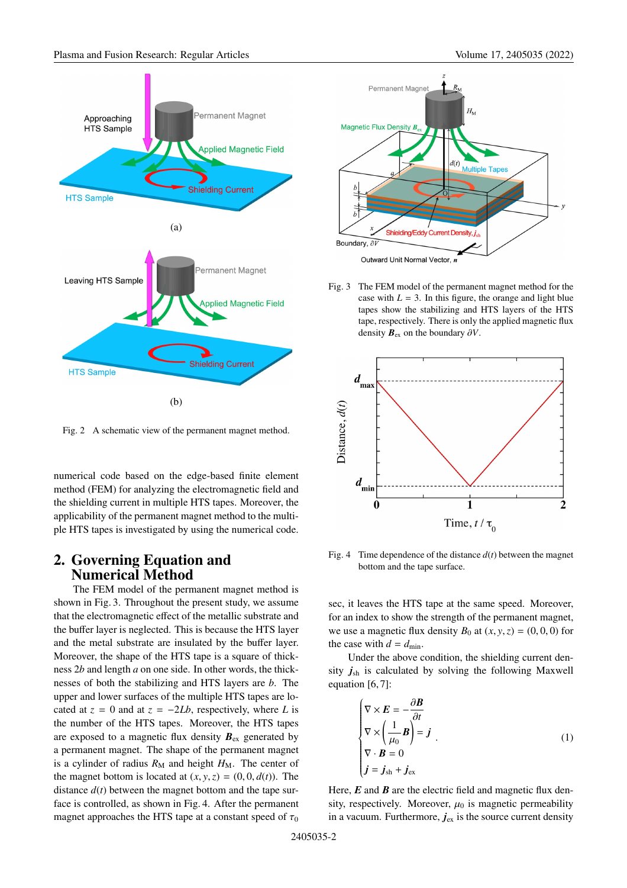

Fig. 2 A schematic view of the permanent magnet method.

numerical code based on the edge-based finite element method (FEM) for analyzing the electromagnetic field and the shielding current in multiple HTS tapes. Moreover, the applicability of the permanent magnet method to the multiple HTS tapes is investigated by using the numerical code.

## **2. Governing Equation and Numerical Method**

The FEM model of the permanent magnet method is shown in Fig. 3. Throughout the present study, we assume that the electromagnetic effect of the metallic substrate and the buffer layer is neglected. This is because the HTS layer and the metal substrate are insulated by the buffer layer. Moreover, the shape of the HTS tape is a square of thickness 2*b* and length *a* on one side. In other words, the thicknesses of both the stabilizing and HTS layers are *b*. The upper and lower surfaces of the multiple HTS tapes are located at  $z = 0$  and at  $z = -2Lb$ , respectively, where *L* is the number of the HTS tapes. Moreover, the HTS tapes are exposed to a magnetic flux density  $B_{ex}$  generated by a permanent magnet. The shape of the permanent magnet is a cylinder of radius  $R_M$  and height  $H_M$ . The center of the magnet bottom is located at  $(x, y, z) = (0, 0, d(t))$ . The distance  $d(t)$  between the magnet bottom and the tape surface is controlled, as shown in Fig. 4. After the permanent magnet approaches the HTS tape at a constant speed of  $\tau_0$ 



Fig. 3 The FEM model of the permanent magnet method for the case with  $L = 3$ . In this figure, the orange and light blue tapes show the stabilizing and HTS layers of the HTS tape, respectively. There is only the applied magnetic flux density  $\mathbf{B}_{\text{ex}}$  on the boundary  $\partial V$ .



Fig. 4 Time dependence of the distance  $d(t)$  between the magnet bottom and the tape surface.

sec, it leaves the HTS tape at the same speed. Moreover, for an index to show the strength of the permanent magnet, we use a magnetic flux density  $B_0$  at  $(x, y, z) = (0, 0, 0)$  for the case with  $d = d_{\text{min}}$ .

Under the above condition, the shielding current density  $j_{sh}$  is calculated by solving the following Maxwell equation [6, 7]:

$$
\begin{cases}\n\nabla \times \mathbf{E} = -\frac{\partial \mathbf{B}}{\partial t} \\
\nabla \times \left(\frac{1}{\mu_0} \mathbf{B}\right) = \mathbf{j} \\
\nabla \cdot \mathbf{B} = 0 \\
\mathbf{j} = \mathbf{j}_{\text{sh}} + \mathbf{j}_{\text{ex}}\n\end{cases} (1)
$$

Here, *E* and *B* are the electric field and magnetic flux density, respectively. Moreover,  $\mu_0$  is magnetic permeability in a vacuum. Furthermore,  $j_{ex}$  is the source current density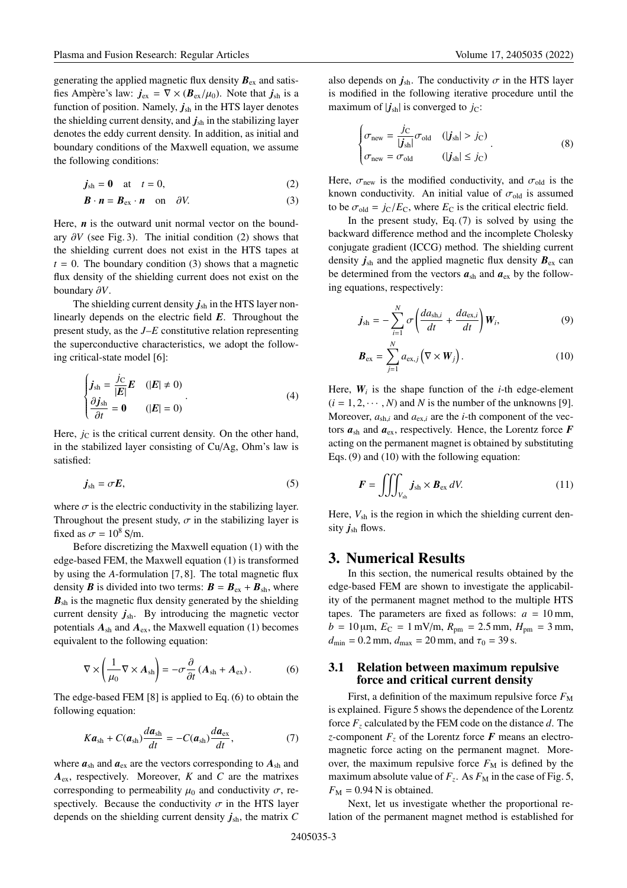generating the applied magnetic flux density  $B_{ex}$  and satisfies Ampère's law:  $j_{ex} = \nabla \times (\mathbf{B}_{ex}/\mu_0)$ . Note that  $j_{sh}$  is a function of position. Namely,  $j_{sh}$  in the HTS layer denotes the shielding current density, and  $j_{sh}$  in the stabilizing layer denotes the eddy current density. In addition, as initial and boundary conditions of the Maxwell equation, we assume the following conditions:

$$
\dot{\mathbf{j}}_{\rm sh} = \mathbf{0} \quad \text{at} \quad t = 0,\tag{2}
$$

$$
\boldsymbol{B} \cdot \boldsymbol{n} = \boldsymbol{B}_{\text{ex}} \cdot \boldsymbol{n} \quad \text{on} \quad \partial V. \tag{3}
$$

Here, *n* is the outward unit normal vector on the boundary  $\partial V$  (see Fig. 3). The initial condition (2) shows that the shielding current does not exist in the HTS tapes at  $t = 0$ . The boundary condition (3) shows that a magnetic flux density of the shielding current does not exist on the boundary ∂*V*.

The shielding current density  $j_{sh}$  in the HTS layer nonlinearly depends on the electric field *E*. Throughout the present study, as the *J*–*E* constitutive relation representing the superconductive characteristics, we adopt the following critical-state model [6]:

$$
\begin{cases}\nj_{\text{sh}} = \frac{j_{\text{C}}}{|E|}E & (|E| \neq 0) \\
\frac{\partial j_{\text{sh}}}{\partial t} = \mathbf{0} & (|E| = 0)\n\end{cases} \tag{4}
$$

Here,  $j_{\rm C}$  is the critical current density. On the other hand, in the stabilized layer consisting of Cu/Ag, Ohm's law is satisfied:

$$
\dot{\mathbf{j}}_{\rm sh} = \sigma \mathbf{E},\tag{5}
$$

where  $\sigma$  is the electric conductivity in the stabilizing layer. Throughout the present study,  $\sigma$  in the stabilizing layer is fixed as  $\sigma = 10^8$  S/m.

Before discretizing the Maxwell equation (1) with the edge-based FEM, the Maxwell equation (1) is transformed by using the *A*-formulation [7, 8]. The total magnetic flux density *B* is divided into two terms:  $B = B_{ex} + B_{sh}$ , where  $B_{\rm sh}$  is the magnetic flux density generated by the shielding current density  $j_{\text{sh}}$ . By introducing the magnetic vector potentials *A*sh and *A*ex, the Maxwell equation (1) becomes equivalent to the following equation:

$$
\nabla \times \left(\frac{1}{\mu_0} \nabla \times A_{sh}\right) = -\sigma \frac{\partial}{\partial t} \left(A_{sh} + A_{ex}\right). \tag{6}
$$

The edge-based FEM [8] is applied to Eq. (6) to obtain the following equation:

$$
Ka_{\rm sh} + C(a_{\rm sh})\frac{da_{\rm sh}}{dt} = -C(a_{\rm sh})\frac{da_{\rm ex}}{dt},\qquad(7)
$$

where  $a_{\rm sh}$  and  $a_{\rm ex}$  are the vectors corresponding to  $A_{\rm sh}$  and *A*ex, respectively. Moreover, *K* and *C* are the matrixes corresponding to permeability  $\mu_0$  and conductivity  $\sigma$ , respectively. Because the conductivity  $\sigma$  in the HTS layer depends on the shielding current density  $j_{\text{sh}}$ , the matrix  $C$  also depends on  $j_{\text{sh}}$ . The conductivity  $\sigma$  in the HTS layer is modified in the following iterative procedure until the maximum of  $|j_{sh}|$  is converged to  $j_c$ :

$$
\begin{cases}\n\sigma_{\text{new}} = \frac{j_C}{|j_{\text{sh}}|} \sigma_{\text{old}} & (|j_{\text{sh}}| > j_C) \\
\sigma_{\text{new}} = \sigma_{\text{old}} & (|j_{\text{sh}}| \le j_C)\n\end{cases}
$$
\n(8)

Here,  $\sigma_{\text{new}}$  is the modified conductivity, and  $\sigma_{\text{old}}$  is the known conductivity. An initial value of  $\sigma_{old}$  is assumed to be  $\sigma_{old} = j_C/E_C$ , where  $E_C$  is the critical electric field.

In the present study, Eq.  $(7)$  is solved by using the backward difference method and the incomplete Cholesky conjugate gradient (ICCG) method. The shielding current density  $j_{sh}$  and the applied magnetic flux density  $B_{ex}$  can be determined from the vectors  $a_{\rm sh}$  and  $a_{\rm ex}$  by the following equations, respectively:

$$
\boldsymbol{j}_{\rm sh} = -\sum_{i=1}^{N} \sigma \left( \frac{da_{\rm sh,i}}{dt} + \frac{da_{\rm ex,i}}{dt} \right) \boldsymbol{W}_i, \tag{9}
$$

$$
\boldsymbol{B}_{\text{ex}} = \sum_{j=1}^{N} a_{\text{ex},j} \left( \nabla \times \boldsymbol{W}_{j} \right). \tag{10}
$$

Here,  $W_i$  is the shape function of the *i*-th edge-element  $(i = 1, 2, \dots, N)$  and *N* is the number of the unknowns [9]. Moreover,  $a_{\rm sh,i}$  and  $a_{\rm ex,i}$  are the *i*-th component of the vectors  $a_{\rm sh}$  and  $a_{\rm ex}$ , respectively. Hence, the Lorentz force  $F$ acting on the permanent magnet is obtained by substituting Eqs. (9) and (10) with the following equation:

$$
F = \iiint_{V_{\rm sh}} j_{\rm sh} \times B_{\rm ex} \, dV. \tag{11}
$$

Here,  $V_{\text{sh}}$  is the region in which the shielding current density  $j_{sh}$  flows.

### **3. Numerical Results**

In this section, the numerical results obtained by the edge-based FEM are shown to investigate the applicability of the permanent magnet method to the multiple HTS tapes. The parameters are fixed as follows:  $a = 10$  mm,  $b = 10 \,\mu\text{m}, E_C = 1 \,\text{mV/m}, R_{\text{pm}} = 2.5 \,\text{mm}, H_{\text{pm}} = 3 \,\text{mm},$  $d_{\text{min}} = 0.2 \text{ mm}, d_{\text{max}} = 20 \text{ mm}, \text{ and } \tau_0 = 39 \text{ s}.$ 

#### **3.1 Relation between maximum repulsive force and critical current density**

First, a definition of the maximum repulsive force  $F_M$ is explained. Figure 5 shows the dependence of the Lorentz force  $F<sub>z</sub>$  calculated by the FEM code on the distance  $d$ . The *z*-component  $F_z$  of the Lorentz force  $\vec{F}$  means an electromagnetic force acting on the permanent magnet. Moreover, the maximum repulsive force  $F<sub>M</sub>$  is defined by the maximum absolute value of  $F_z$ . As  $F_M$  in the case of Fig. 5,  $F_M = 0.94$  N is obtained.

Next, let us investigate whether the proportional relation of the permanent magnet method is established for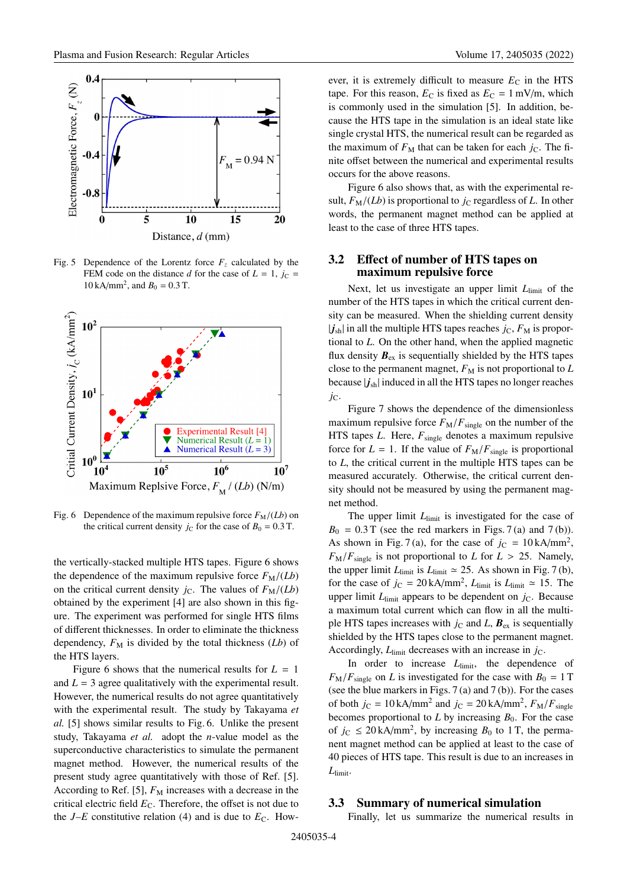

Fig. 5 Dependence of the Lorentz force  $F_z$  calculated by the FEM code on the distance *d* for the case of  $L = 1$ ,  $j_c =$ 10 kA/mm<sup>2</sup>, and  $B_0 = 0.3$  T.



Fig. 6 Dependence of the maximum repulsive force  $F_M/(Lb)$  on the critical current density  $j_C$  for the case of  $B_0 = 0.3$  T.

the vertically-stacked multiple HTS tapes. Figure 6 shows the dependence of the maximum repulsive force  $F_M/(Lb)$ on the critical current density  $j<sub>C</sub>$ . The values of  $F<sub>M</sub>/(Lb)$ obtained by the experiment [4] are also shown in this figure. The experiment was performed for single HTS films of different thicknesses. In order to eliminate the thickness dependency,  $F_M$  is divided by the total thickness  $(Lb)$  of the HTS layers.

Figure 6 shows that the numerical results for  $L = 1$ and  $L = 3$  agree qualitatively with the experimental result. However, the numerical results do not agree quantitatively with the experimental result. The study by Takayama *et al.* [5] shows similar results to Fig. 6. Unlike the present study, Takayama *et al.* adopt the *n*-value model as the superconductive characteristics to simulate the permanent magnet method. However, the numerical results of the present study agree quantitatively with those of Ref. [5]. According to Ref. [5],  $F_M$  increases with a decrease in the critical electric field  $E<sub>C</sub>$ . Therefore, the offset is not due to the  $J$ –*E* constitutive relation (4) and is due to  $E_C$ . However, it is extremely difficult to measure  $E_C$  in the HTS tape. For this reason,  $E_C$  is fixed as  $E_C = 1$  mV/m, which is commonly used in the simulation [5]. In addition, because the HTS tape in the simulation is an ideal state like single crystal HTS, the numerical result can be regarded as the maximum of  $F_M$  that can be taken for each  $j_C$ . The finite offset between the numerical and experimental results occurs for the above reasons.

Figure 6 also shows that, as with the experimental result,  $F_M/(Lb)$  is proportional to  $j_c$  regardless of  $L$ . In other words, the permanent magnet method can be applied at least to the case of three HTS tapes.

#### **3.2 E**ff**ect of number of HTS tapes on maximum repulsive force**

Next, let us investigate an upper limit  $L<sub>limit</sub>$  of the number of the HTS tapes in which the critical current density can be measured. When the shielding current density  $|j_{sh}|$  in all the multiple HTS tapes reaches  $j_C$ ,  $F_M$  is proportional to *L*. On the other hand, when the applied magnetic flux density  $B_{ex}$  is sequentially shielded by the HTS tapes close to the permanent magnet,  $F<sub>M</sub>$  is not proportional to  $L$ because  $|j_{sh}|$  induced in all the HTS tapes no longer reaches *j*C.

Figure 7 shows the dependence of the dimensionless maximum repulsive force  $F_M/F_{single}$  on the number of the HTS tapes *L*. Here,  $F_{single}$  denotes a maximum repulsive force for  $L = 1$ . If the value of  $F_M/F_{\text{single}}$  is proportional to *L*, the critical current in the multiple HTS tapes can be measured accurately. Otherwise, the critical current density should not be measured by using the permanent magnet method.

The upper limit  $L<sub>limit</sub>$  is investigated for the case of  $B_0 = 0.3$  T (see the red markers in Figs. 7(a) and 7(b)). As shown in Fig. 7(a), for the case of  $j_c = 10 \text{ kA/mm}^2$ ,  $F_M/F_{single}$  is not proportional to *L* for  $L > 25$ . Namely, the upper limit  $L_{\text{limit}}$  is  $L_{\text{limit}} \approx 25$ . As shown in Fig. 7(b), for the case of  $j_c = 20 \text{ kA/mm}^2$ ,  $L_{\text{limit}}$  is  $L_{\text{limit}} \approx 15$ . The upper limit  $L_{\text{limit}}$  appears to be dependent on  $j_{\text{C}}$ . Because a maximum total current which can flow in all the multiple HTS tapes increases with  $j<sub>C</sub>$  and *L*,  $B_{ex}$  is sequentially shielded by the HTS tapes close to the permanent magnet. Accordingly,  $L_{\text{limit}}$  decreases with an increase in  $j_{\text{C}}$ .

In order to increase  $L<sub>limit</sub>$ , the dependence of  $F_M/F_{\text{single}}$  on *L* is investigated for the case with  $B_0 = 1$  T (see the blue markers in Figs. 7 (a) and 7 (b)). For the cases of both  $j_c = 10 \text{ kA/mm}^2$  and  $j_c = 20 \text{ kA/mm}^2$ ,  $F_M/F_{single}$ becomes proportional to  $L$  by increasing  $B_0$ . For the case of  $j_c \leq 20 \text{ kA/mm}^2$ , by increasing  $B_0$  to 1 T, the permanent magnet method can be applied at least to the case of 40 pieces of HTS tape. This result is due to an increases in *L*limit.

#### **3.3 Summary of numerical simulation**

Finally, let us summarize the numerical results in